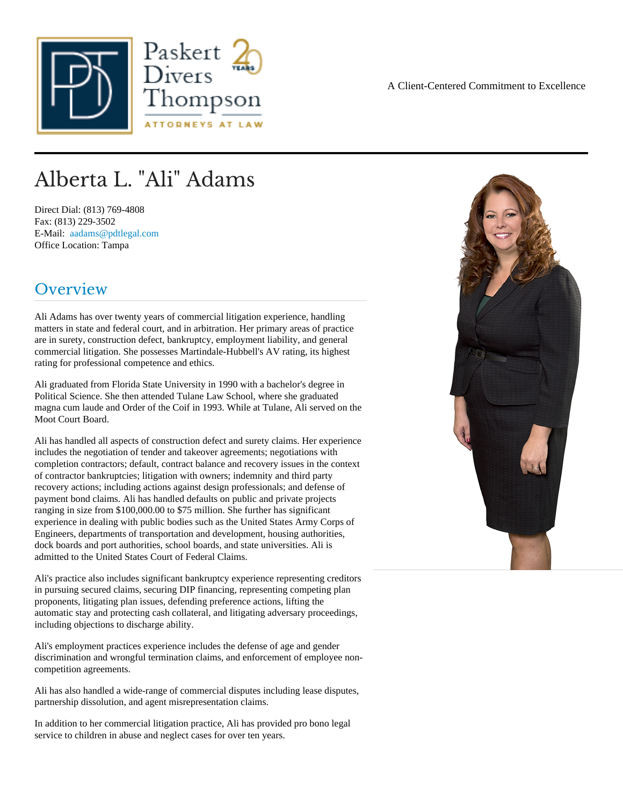# Alberta L. "Ali" Adams

Direct Dial: (813) 769-4808 Fax: (813) 229-3502 E-Mail: [aadams@pdtlegal.co](mailto:aadams@pdtlegal.com )m Office Location: Tampa

### Overview

Ali Adams has over twenty years of commercial litigation experience, handling matters in state and federal court, and in arbitration. Her primary areas of practice are in surety, construction defect, bankruptcy, employment liability, and general commercial litigation. She possesses Martindale-Hubbell's AV rating, its highest rating for professional competence and ethics.

Ali graduated from Florida State University in 1990 with a bachelor's degree in Political Science. She then attended Tulane Law School, where she graduated magna cum laude and Order of the Coif in 1993. While at Tulane, Ali served on the Moot Court Board.

Ali has handled all aspects of construction defect and surety claims. Her experience includes the negotiation of tender and takeover agreements; negotiations with completion contractors; default, contract balance and recovery issues in the context of contractor bankruptcies; litigation with owners; indemnity and third party recovery actions; including actions against design professionals; and defense of payment bond claims. Ali has handled defaults on public and private projects ranging in size from \$100,000.00 to \$75 million. She further has significant experience in dealing with public bodies such as the United States Army Corps of Engineers, departments of transportation and development, housing authorities, dock boards and port authorities, school boards, and state universities. Ali is admitted to the United States Court of Federal Claims.

Ali's practice also includes significant bankruptcy experience representing creditors in pursuing secured claims, securing DIP financing, representing competing plan proponents, litigating plan issues, defending preference actions, lifting the automatic stay and protecting cash collateral, and litigating adversary proceedings, including objections to discharge ability.

Ali's employment practices experience includes the defense of age and gender discrimination and wrongful termination claims, and enforcement of employee noncompetition agreements.

Ali has also handled a wide-range of commercial disputes including lease disputes, partnership dissolution, and agent misrepresentation claims.

In addition to her commercial litigation practice, Ali has provided pro bono legal service to children in abuse and neglect cases for over ten years.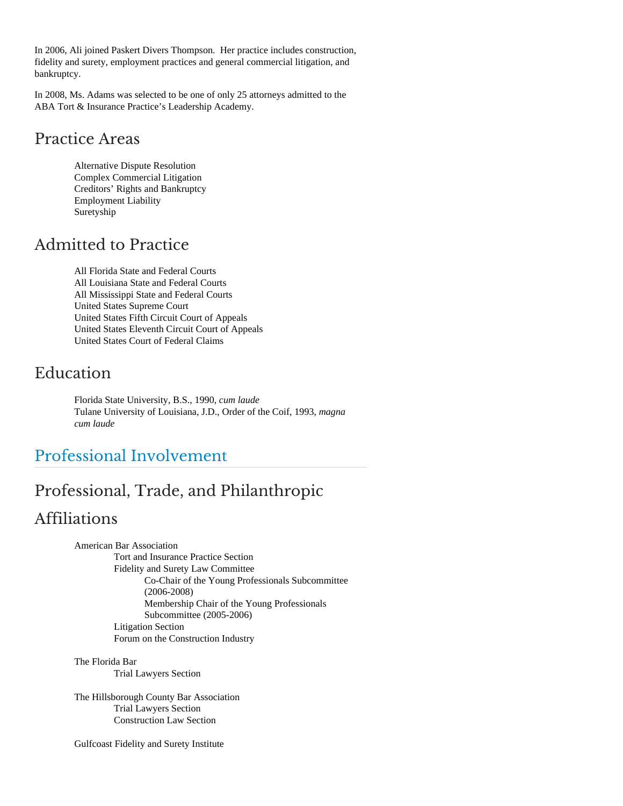In 2006, Ali joined Paskert Divers Thompson. Her practice includes construction, fidelity and surety, employment practices and general commercial litigation, and bankruptcy.

In 2008, Ms. Adams was selected to be one of only 25 attorneys admitted to the ABA Tort & Insurance Practice's Leadership Academy.

### Practice Areas

Alternative Dispute Resolution Complex Commercial Litigation Creditors' Rights and Bankruptcy Employment Liability Suretyship

# Admitted to Practice

All Florida State and Federal Courts All Louisiana State and Federal Courts All Mississippi State and Federal Courts United States Supreme Court United States Fifth Circuit Court of Appeals United States Eleventh Circuit Court of Appeals United States Court of Federal Claims

### Education

Florida State University, B.S., 1990, *cum laude* Tulane University of Louisiana, J.D., Order of the Coif, 1993, *magna cum laude*

# Professional Involvement

# Professional, Trade, and Philanthropic Affiliations

American Bar Association Tort and Insurance Practice Section Fidelity and Surety Law Committee Co-Chair of the Young Professionals Subcommittee (2006-2008) Membership Chair of the Young Professionals Subcommittee (2005-2006) Litigation Section Forum on the Construction Industry

The Florida Bar Trial Lawyers Section

The Hillsborough County Bar Association Trial Lawyers Section Construction Law Section

Gulfcoast Fidelity and Surety Institute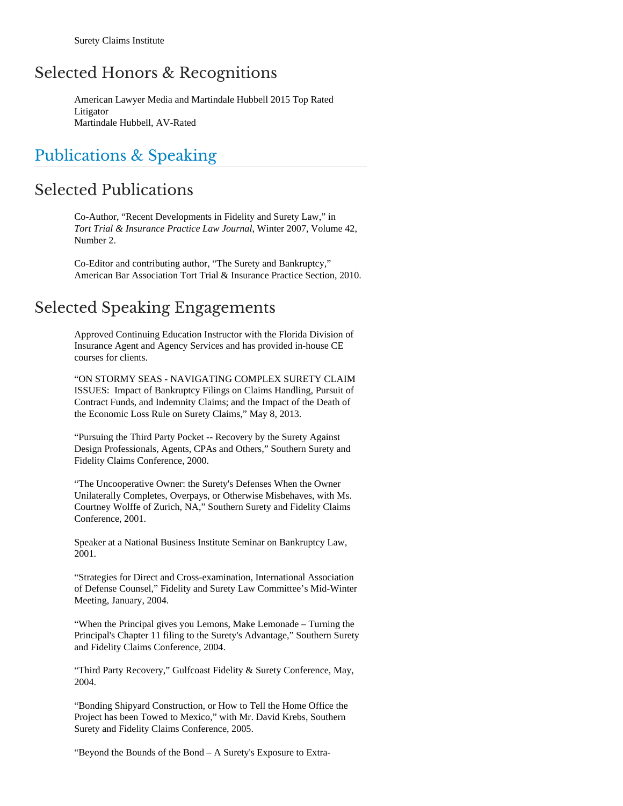### Selected Honors & Recognitions

American Lawyer Media and Martindale Hubbell 2015 Top Rated Litigator Martindale Hubbell, AV-Rated

### Publications & Speaking

### Selected Publications

Co-Author, "Recent Developments in Fidelity and Surety Law," in *Tort Trial & Insurance Practice Law Journal*, Winter 2007, Volume 42, Number 2.

Co-Editor and contributing author, "The Surety and Bankruptcy," American Bar Association Tort Trial & Insurance Practice Section, 2010.

### Selected Speaking Engagements

Approved Continuing Education Instructor with the Florida Division of Insurance Agent and Agency Services and has provided in-house CE courses for clients.

"ON STORMY SEAS - NAVIGATING COMPLEX SURETY CLAIM ISSUES: Impact of Bankruptcy Filings on Claims Handling, Pursuit of Contract Funds, and Indemnity Claims; and the Impact of the Death of the Economic Loss Rule on Surety Claims," May 8, 2013.

"Pursuing the Third Party Pocket -- Recovery by the Surety Against Design Professionals, Agents, CPAs and Others," Southern Surety and Fidelity Claims Conference, 2000.

"The Uncooperative Owner: the Surety's Defenses When the Owner Unilaterally Completes, Overpays, or Otherwise Misbehaves, with Ms. Courtney Wolffe of Zurich, NA," Southern Surety and Fidelity Claims Conference, 2001.

Speaker at a National Business Institute Seminar on Bankruptcy Law, 2001.

"Strategies for Direct and Cross-examination, International Association of Defense Counsel," Fidelity and Surety Law Committee's Mid-Winter Meeting, January, 2004.

"When the Principal gives you Lemons, Make Lemonade – Turning the Principal's Chapter 11 filing to the Surety's Advantage," Southern Surety and Fidelity Claims Conference, 2004.

"Third Party Recovery," Gulfcoast Fidelity & Surety Conference, May, 2004.

"Bonding Shipyard Construction, or How to Tell the Home Office the Project has been Towed to Mexico," with Mr. David Krebs, Southern Surety and Fidelity Claims Conference, 2005.

"Beyond the Bounds of the Bond – A Surety's Exposure to Extra-